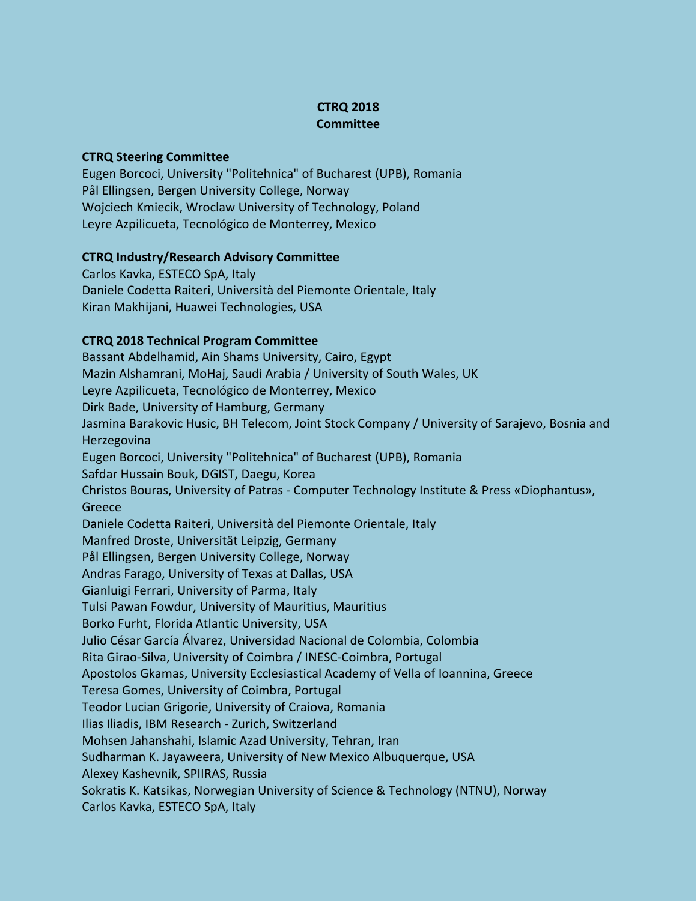## **CTRQ 2018 Committee**

## **CTRQ Steering Committee**

Eugen Borcoci, University "Politehnica" of Bucharest (UPB), Romania Pål Ellingsen, Bergen University College, Norway Wojciech Kmiecik, Wroclaw University of Technology, Poland Leyre Azpilicueta, Tecnológico de Monterrey, Mexico

## **CTRQ Industry/Research Advisory Committee**

Carlos Kavka, ESTECO SpA, Italy Daniele Codetta Raiteri, Università del Piemonte Orientale, Italy Kiran Makhijani, Huawei Technologies, USA

## **CTRQ 2018 Technical Program Committee**

Bassant Abdelhamid, Ain Shams University, Cairo, Egypt Mazin Alshamrani, MoHaj, Saudi Arabia / University of South Wales, UK Leyre Azpilicueta, Tecnológico de Monterrey, Mexico Dirk Bade, University of Hamburg, Germany Jasmina Barakovic Husic, BH Telecom, Joint Stock Company / University of Sarajevo, Bosnia and Herzegovina Eugen Borcoci, University "Politehnica" of Bucharest (UPB), Romania Safdar Hussain Bouk, DGIST, Daegu, Korea Christos Bouras, University of Patras - Computer Technology Institute & Press «Diophantus», **Greece** Daniele Codetta Raiteri, Università del Piemonte Orientale, Italy Manfred Droste, Universität Leipzig, Germany Pål Ellingsen, Bergen University College, Norway Andras Farago, University of Texas at Dallas, USA Gianluigi Ferrari, University of Parma, Italy Tulsi Pawan Fowdur, University of Mauritius, Mauritius Borko Furht, Florida Atlantic University, USA Julio César García Álvarez, Universidad Nacional de Colombia, Colombia Rita Girao-Silva, University of Coimbra / INESC-Coimbra, Portugal Apostolos Gkamas, University Ecclesiastical Academy of Vella of Ioannina, Greece Teresa Gomes, University of Coimbra, Portugal Teodor Lucian Grigorie, University of Craiova, Romania Ilias Iliadis, IBM Research - Zurich, Switzerland Mohsen Jahanshahi, Islamic Azad University, Tehran, Iran Sudharman K. Jayaweera, University of New Mexico Albuquerque, USA Alexey Kashevnik, SPIIRAS, Russia Sokratis K. Katsikas, Norwegian University of Science & Technology (NTNU), Norway Carlos Kavka, ESTECO SpA, Italy